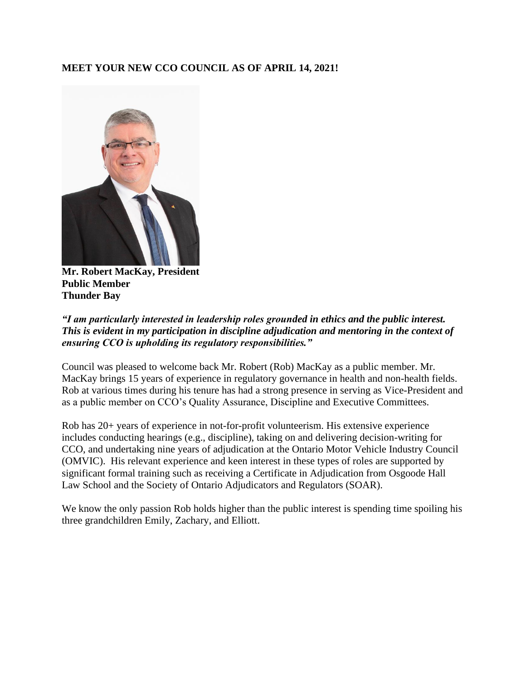## **MEET YOUR NEW CCO COUNCIL AS OF APRIL 14, 2021!**



**Mr. Robert MacKay, President Public Member Thunder Bay**

### *"I am particularly interested in leadership roles grounded in ethics and the public interest. This is evident in my participation in discipline adjudication and mentoring in the context of ensuring CCO is upholding its regulatory responsibilities."*

Council was pleased to welcome back Mr. Robert (Rob) MacKay as a public member. Mr. MacKay brings 15 years of experience in regulatory governance in health and non-health fields. Rob at various times during his tenure has had a strong presence in serving as Vice-President and as a public member on CCO's Quality Assurance, Discipline and Executive Committees.

Rob has 20+ years of experience in not-for-profit volunteerism. His extensive experience includes conducting hearings (e.g., discipline), taking on and delivering decision-writing for CCO, and undertaking nine years of adjudication at the Ontario Motor Vehicle Industry Council (OMVIC). His relevant experience and keen interest in these types of roles are supported by significant formal training such as receiving a Certificate in Adjudication from Osgoode Hall Law School and the Society of Ontario Adjudicators and Regulators (SOAR).

We know the only passion Rob holds higher than the public interest is spending time spoiling his three grandchildren Emily, Zachary, and Elliott.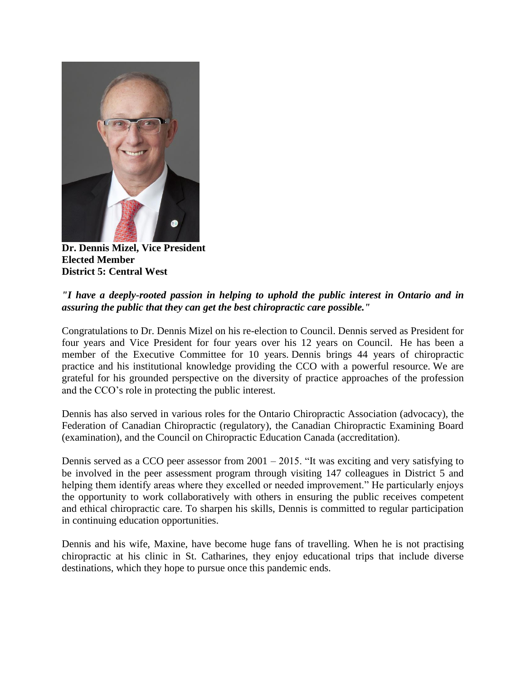

**Dr. Dennis Mizel, Vice President Elected Member District 5: Central West**

### *"I have a deeply-rooted passion in helping to uphold the public interest in Ontario and in assuring the public that they can get the best chiropractic care possible."*

Congratulations to Dr. Dennis Mizel on his re-election to Council. Dennis served as President for four years and Vice President for four years over his 12 years on Council. He has been a member of the Executive Committee for 10 years. Dennis brings 44 years of chiropractic practice and his institutional knowledge providing the CCO with a powerful resource. We are grateful for his grounded perspective on the diversity of practice approaches of the profession and the CCO's role in protecting the public interest.

Dennis has also served in various roles for the Ontario Chiropractic Association (advocacy), the Federation of Canadian Chiropractic (regulatory), the Canadian Chiropractic Examining Board (examination), and the Council on Chiropractic Education Canada (accreditation).

Dennis served as a CCO peer assessor from 2001 – 2015. "It was exciting and very satisfying to be involved in the peer assessment program through visiting 147 colleagues in District 5 and helping them identify areas where they excelled or needed improvement." He particularly enjoys the opportunity to work collaboratively with others in ensuring the public receives competent and ethical chiropractic care. To sharpen his skills, Dennis is committed to regular participation in continuing education opportunities.

Dennis and his wife, Maxine, have become huge fans of travelling. When he is not practising chiropractic at his clinic in St. Catharines, they enjoy educational trips that include diverse destinations, which they hope to pursue once this pandemic ends.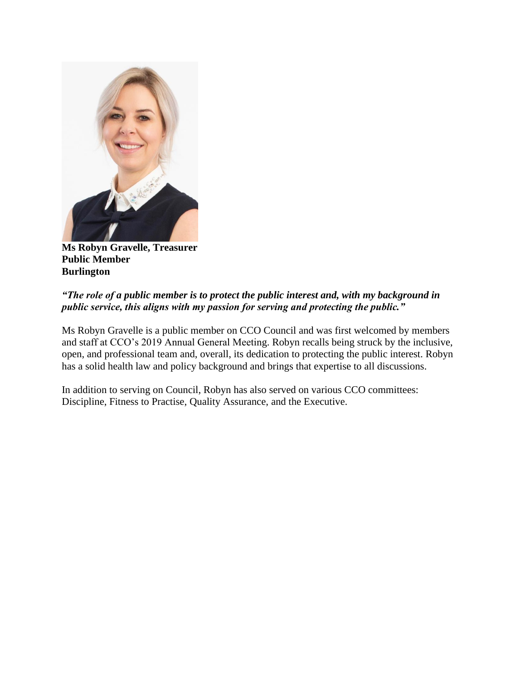

**Ms Robyn Gravelle, Treasurer Public Member Burlington**

# *"The role of a public member is to protect the public interest and, with my background in public service, this aligns with my passion for serving and protecting the public."*

Ms Robyn Gravelle is a public member on CCO Council and was first welcomed by members and staff at CCO's 2019 Annual General Meeting. Robyn recalls being struck by the inclusive, open, and professional team and, overall, its dedication to protecting the public interest. Robyn has a solid health law and policy background and brings that expertise to all discussions.

In addition to serving on Council, Robyn has also served on various CCO committees: Discipline, Fitness to Practise, Quality Assurance, and the Executive.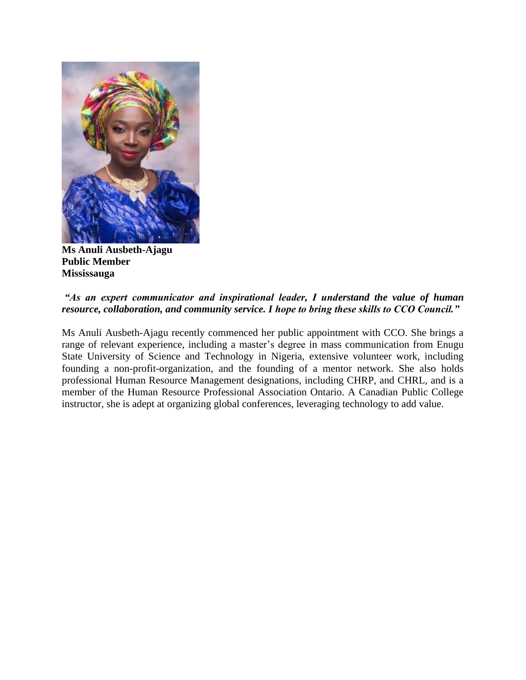

**Ms Anuli Ausbeth-Ajagu Public Member Mississauga**

#### *"As an expert communicator and inspirational leader, I understand the value of human resource, collaboration, and community service. I hope to bring these skills to CCO Council."*

Ms Anuli Ausbeth-Ajagu recently commenced her public appointment with CCO. She brings a range of relevant experience, including a master's degree in mass communication from Enugu State University of Science and Technology in Nigeria, extensive volunteer work, including founding a non-profit-organization, and the founding of a mentor network. She also holds professional Human Resource Management designations, including CHRP, and CHRL, and is a member of the Human Resource Professional Association Ontario. A Canadian Public College instructor, she is adept at organizing global conferences, leveraging technology to add value.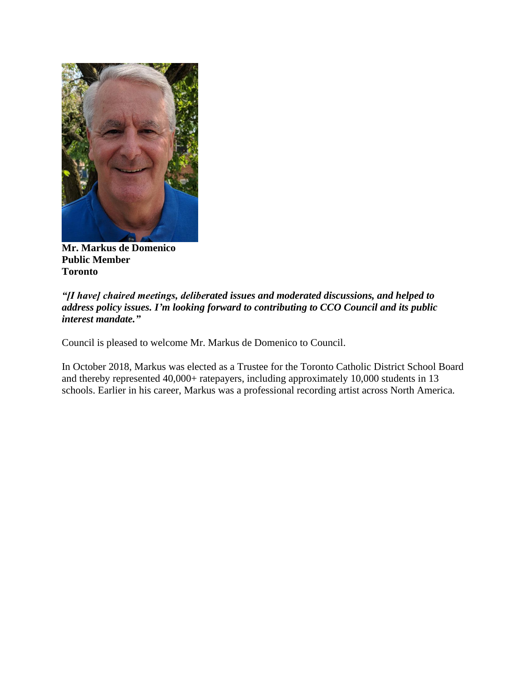

**Mr. Markus de Domenico Public Member Toronto**

#### *"[I have] chaired meetings, deliberated issues and moderated discussions, and helped to address policy issues. I'm looking forward to contributing to CCO Council and its public interest mandate."*

Council is pleased to welcome Mr. Markus de Domenico to Council.

In October 2018, Markus was elected as a Trustee for the Toronto Catholic District School Board and thereby represented 40,000+ ratepayers, including approximately 10,000 students in 13 schools. Earlier in his career, Markus was a professional recording artist across North America.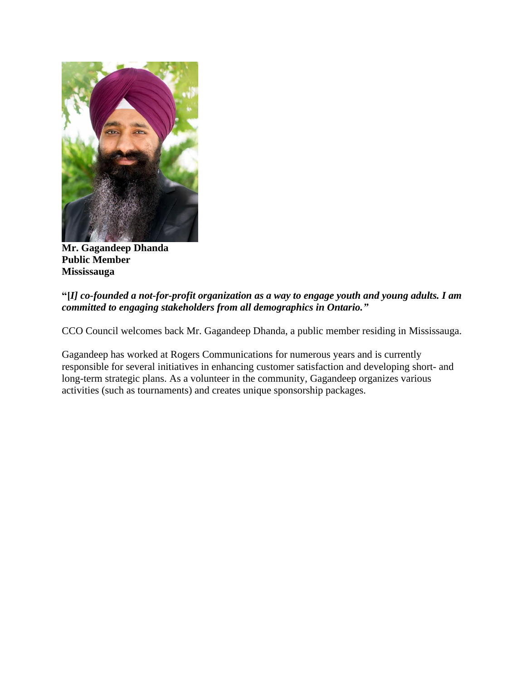

**Mr. Gagandeep Dhanda Public Member Mississauga**

### **"[***I] co-founded a not-for-profit organization as a way to engage youth and young adults. I am committed to engaging stakeholders from all demographics in Ontario."*

CCO Council welcomes back Mr. Gagandeep Dhanda, a public member residing in Mississauga.

Gagandeep has worked at Rogers Communications for numerous years and is currently responsible for several initiatives in enhancing customer satisfaction and developing short- and long-term strategic plans. As a volunteer in the community, Gagandeep organizes various activities (such as tournaments) and creates unique sponsorship packages.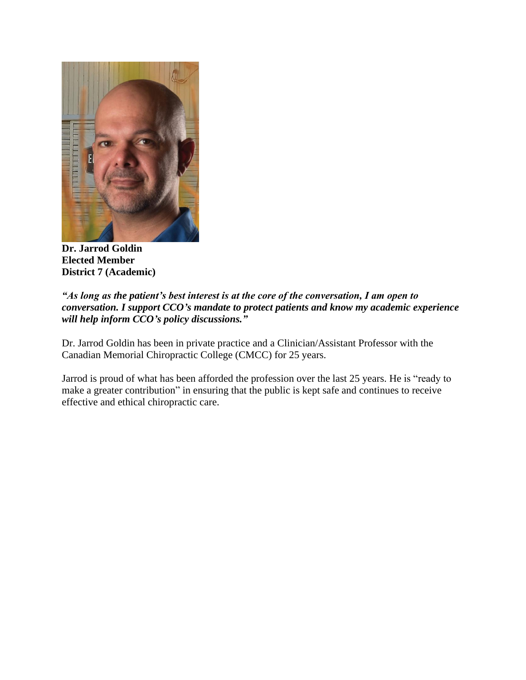

**Dr. Jarrod Goldin Elected Member District 7 (Academic)**

#### *"As long as the patient's best interest is at the core of the conversation, I am open to conversation. I support CCO's mandate to protect patients and know my academic experience will help inform CCO's policy discussions."*

Dr. Jarrod Goldin has been in private practice and a Clinician/Assistant Professor with the Canadian Memorial Chiropractic College (CMCC) for 25 years.

Jarrod is proud of what has been afforded the profession over the last 25 years. He is "ready to make a greater contribution" in ensuring that the public is kept safe and continues to receive effective and ethical chiropractic care.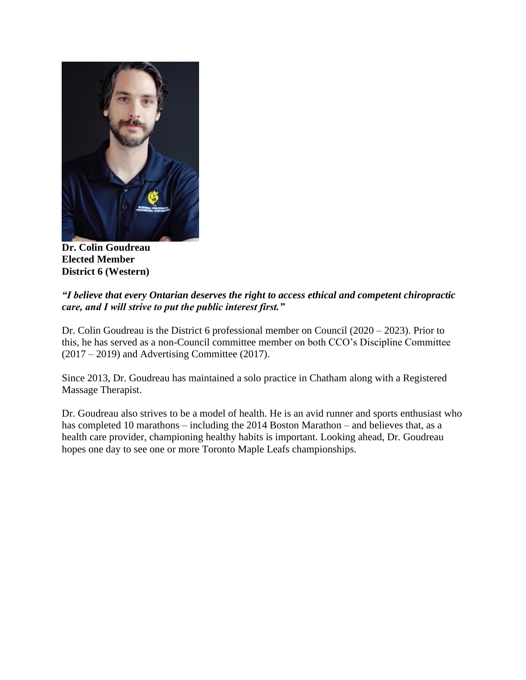

**Dr. Colin Goudreau Elected Member District 6 (Western)**

# *"I believe that every Ontarian deserves the right to access ethical and competent chiropractic care, and I will strive to put the public interest first."*

Dr. Colin Goudreau is the District 6 professional member on Council (2020 – 2023). Prior to this, he has served as a non-Council committee member on both CCO's Discipline Committee  $(2017 – 2019)$  and Advertising Committee  $(2017)$ .

Since 2013, Dr. Goudreau has maintained a solo practice in Chatham along with a Registered Massage Therapist.

Dr. Goudreau also strives to be a model of health. He is an avid runner and sports enthusiast who has completed 10 marathons – including the 2014 Boston Marathon – and believes that, as a health care provider, championing healthy habits is important. Looking ahead, Dr. Goudreau hopes one day to see one or more Toronto Maple Leafs championships.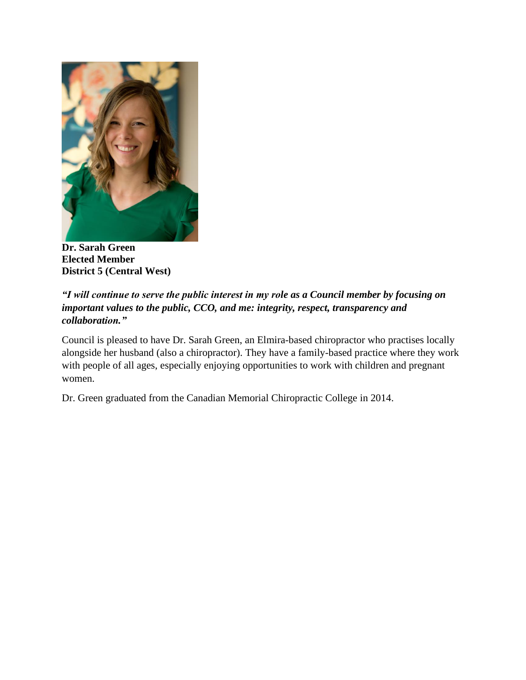

**Dr. Sarah Green Elected Member District 5 (Central West)**

# *"I will continue to serve the public interest in my role as a Council member by focusing on important values to the public, CCO, and me: integrity, respect, transparency and collaboration."*

Council is pleased to have Dr. Sarah Green, an Elmira-based chiropractor who practises locally alongside her husband (also a chiropractor). They have a family-based practice where they work with people of all ages, especially enjoying opportunities to work with children and pregnant women.

Dr. Green graduated from the Canadian Memorial Chiropractic College in 2014.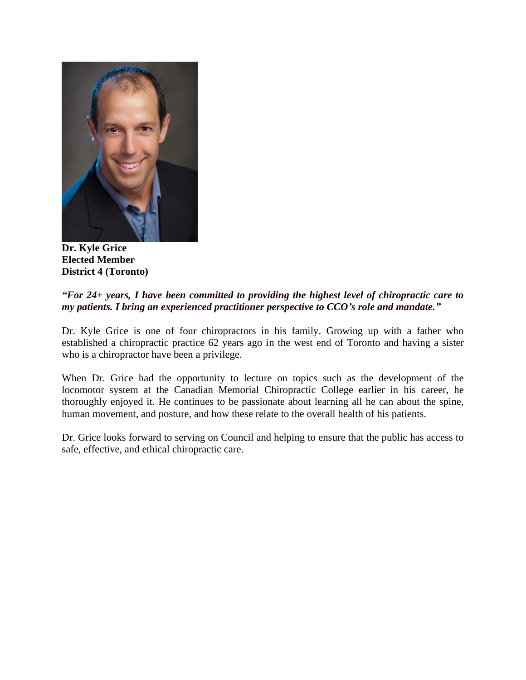

**Dr. Kyle Grice Elected Member District 4 (Toronto)**

#### *"For 24+ years, I have been committed to providing the highest level of chiropractic care to my patients. I bring an experienced practitioner perspective to CCO's role and mandate."*

Dr. Kyle Grice is one of four chiropractors in his family. Growing up with a father who established a chiropractic practice 62 years ago in the west end of Toronto and having a sister who is a chiropractor have been a privilege.

When Dr. Grice had the opportunity to lecture on topics such as the development of the locomotor system at the Canadian Memorial Chiropractic College earlier in his career, he thoroughly enjoyed it. He continues to be passionate about learning all he can about the spine, human movement, and posture, and how these relate to the overall health of his patients.

Dr. Grice looks forward to serving on Council and helping to ensure that the public has access to safe, effective, and ethical chiropractic care.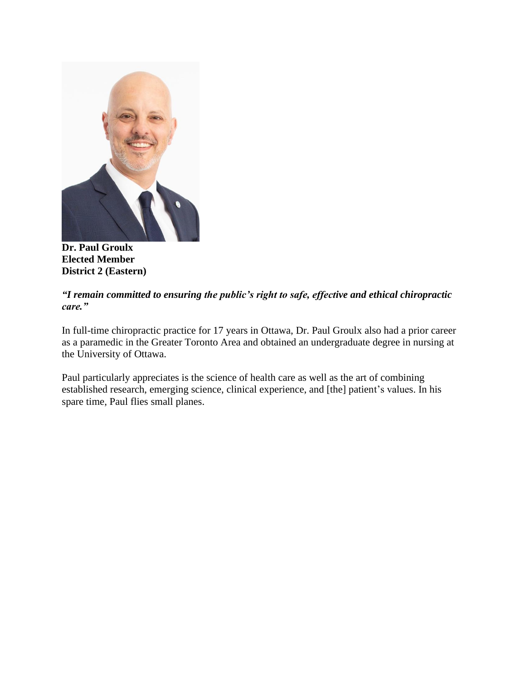

**Dr. Paul Groulx Elected Member District 2 (Eastern)**

# *"I remain committed to ensuring the public's right to safe, effective and ethical chiropractic care."*

In full-time chiropractic practice for 17 years in Ottawa, Dr. Paul Groulx also had a prior career as a paramedic in the Greater Toronto Area and obtained an undergraduate degree in nursing at the University of Ottawa.

Paul particularly appreciates is the science of health care as well as the art of combining established research, emerging science, clinical experience, and [the] patient's values. In his spare time, Paul flies small planes.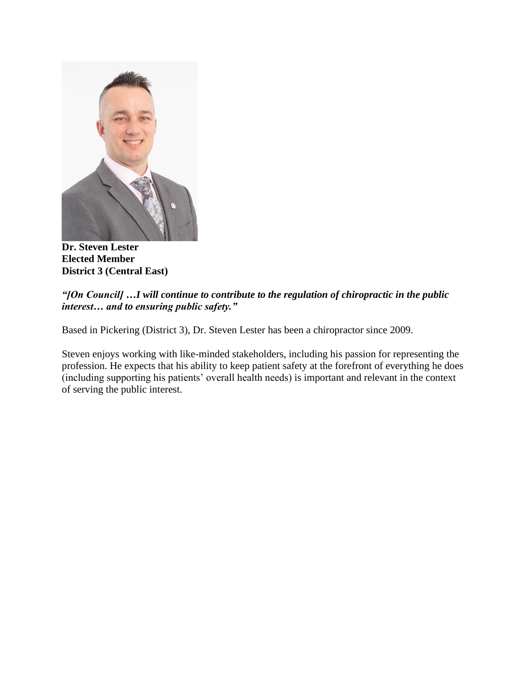

**Dr. Steven Lester Elected Member District 3 (Central East)**

# *"[On Council] …I will continue to contribute to the regulation of chiropractic in the public interest… and to ensuring public safety."*

Based in Pickering (District 3), Dr. Steven Lester has been a chiropractor since 2009.

Steven enjoys working with like-minded stakeholders, including his passion for representing the profession. He expects that his ability to keep patient safety at the forefront of everything he does (including supporting his patients' overall health needs) is important and relevant in the context of serving the public interest.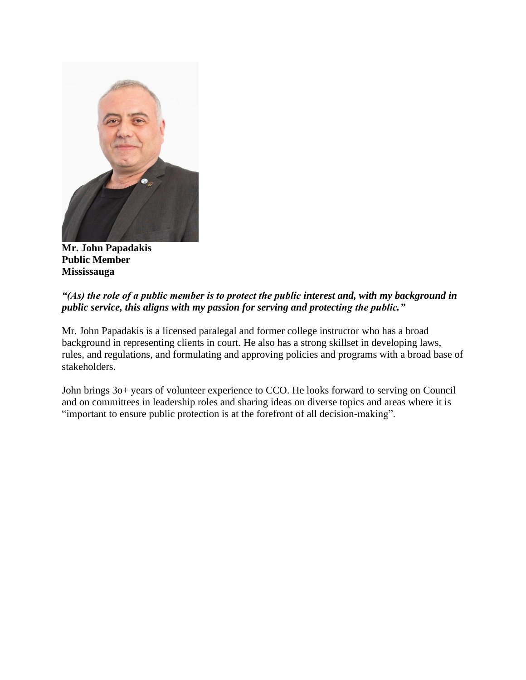

**Mr. John Papadakis Public Member Mississauga**

## *"(As) the role of a public member is to protect the public interest and, with my background in public service, this aligns with my passion for serving and protecting the public."*

Mr. John Papadakis is a licensed paralegal and former college instructor who has a broad background in representing clients in court. He also has a strong skillset in developing laws, rules, and regulations, and formulating and approving policies and programs with a broad base of stakeholders.

John brings 3o+ years of volunteer experience to CCO. He looks forward to serving on Council and on committees in leadership roles and sharing ideas on diverse topics and areas where it is "important to ensure public protection is at the forefront of all decision-making".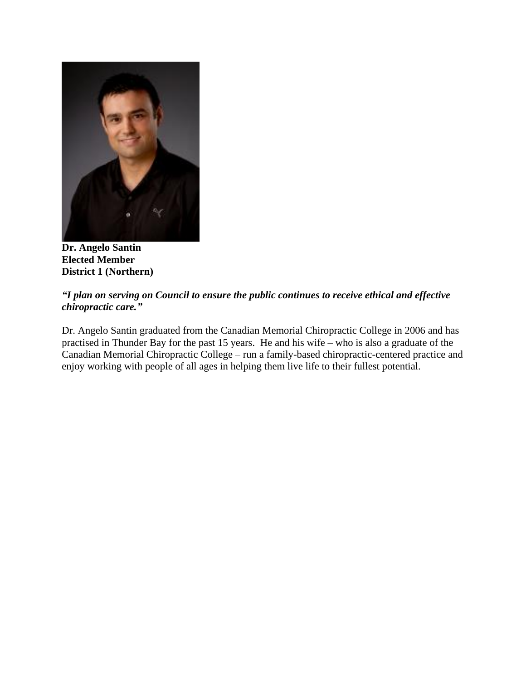

**Dr. Angelo Santin Elected Member District 1 (Northern)**

# *"I plan on serving on Council to ensure the public continues to receive ethical and effective chiropractic care."*

Dr. Angelo Santin graduated from the Canadian Memorial Chiropractic College in 2006 and has practised in Thunder Bay for the past 15 years. He and his wife – who is also a graduate of the Canadian Memorial Chiropractic College – run a family-based chiropractic-centered practice and enjoy working with people of all ages in helping them live life to their fullest potential.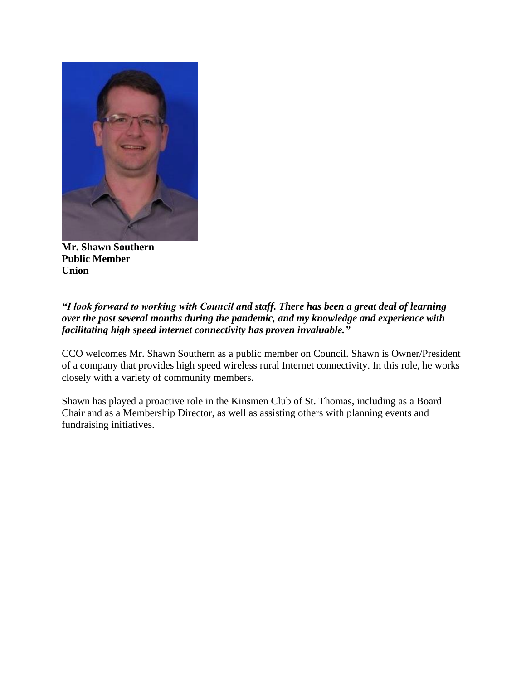

**Mr. Shawn Southern Public Member Union**

## *"I look forward to working with Council and staff. There has been a great deal of learning over the past several months during the pandemic, and my knowledge and experience with facilitating high speed internet connectivity has proven invaluable."*

CCO welcomes Mr. Shawn Southern as a public member on Council. Shawn is Owner/President of a company that provides high speed wireless rural Internet connectivity. In this role, he works closely with a variety of community members.

Shawn has played a proactive role in the Kinsmen Club of St. Thomas, including as a Board Chair and as a Membership Director, as well as assisting others with planning events and fundraising initiatives.